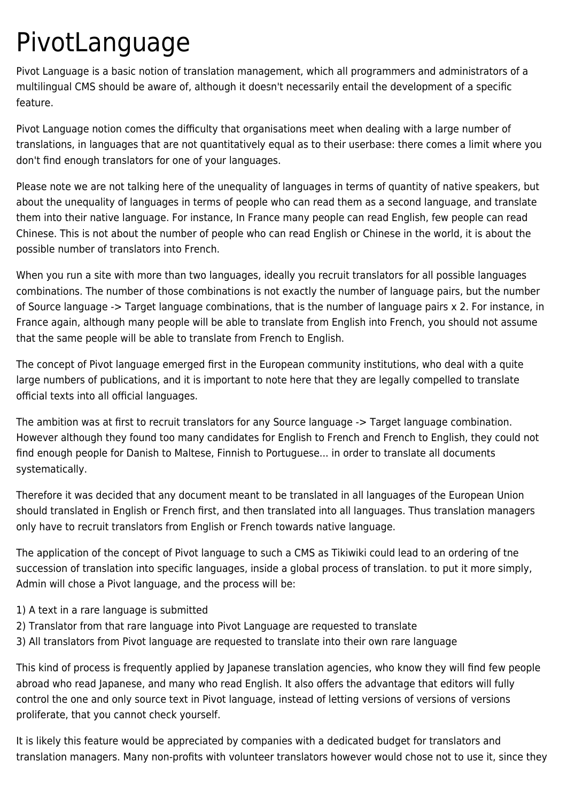## PivotLanguage

Pivot Language is a basic notion of translation management, which all programmers and administrators of a multilingual CMS should be aware of, although it doesn't necessarily entail the development of a specific feature.

Pivot Language notion comes the difficulty that organisations meet when dealing with a large number of translations, in languages that are not quantitatively equal as to their userbase: there comes a limit where you don't find enough translators for one of your languages.

Please note we are not talking here of the unequality of languages in terms of quantity of native speakers, but about the unequality of languages in terms of people who can read them as a second language, and translate them into their native language. For instance, In France many people can read English, few people can read Chinese. This is not about the number of people who can read English or Chinese in the world, it is about the possible number of translators into French.

When you run a site with more than two languages, ideally you recruit translators for all possible languages combinations. The number of those combinations is not exactly the number of language pairs, but the number of Source language -> Target language combinations, that is the number of language pairs x 2. For instance, in France again, although many people will be able to translate from English into French, you should not assume that the same people will be able to translate from French to English.

The concept of Pivot language emerged first in the European community institutions, who deal with a quite large numbers of publications, and it is important to note here that they are legally compelled to translate official texts into all official languages.

The ambition was at first to recruit translators for any Source language -> Target language combination. However although they found too many candidates for English to French and French to English, they could not find enough people for Danish to Maltese, Finnish to Portuguese... in order to translate all documents systematically.

Therefore it was decided that any document meant to be translated in all languages of the European Union should translated in English or French first, and then translated into all languages. Thus translation managers only have to recruit translators from English or French towards native language.

The application of the concept of Pivot language to such a CMS as Tikiwiki could lead to an ordering of tne succession of translation into specific languages, inside a global process of translation. to put it more simply, Admin will chose a Pivot language, and the process will be:

- 1) A text in a rare language is submitted
- 2) Translator from that rare language into Pivot Language are requested to translate
- 3) All translators from Pivot language are requested to translate into their own rare language

This kind of process is frequently applied by Japanese translation agencies, who know they will find few people abroad who read Japanese, and many who read English. It also offers the advantage that editors will fully control the one and only source text in Pivot language, instead of letting versions of versions of versions proliferate, that you cannot check yourself.

It is likely this feature would be appreciated by companies with a dedicated budget for translators and translation managers. Many non-profits with volunteer translators however would chose not to use it, since they